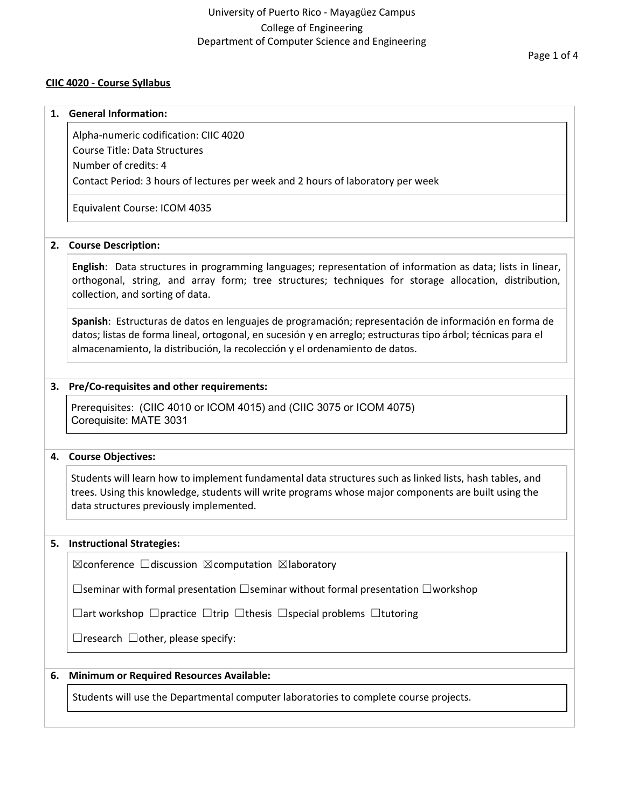# University of Puerto Rico - Mayagüez Campus College of Engineering Department of Computer Science and Engineering

## **CIIC 4020 - Course Syllabus**

#### **1. General Information:**

Alpha-numeric codification: CIIC 4020

Course Title: Data Structures

Number of credits: 4

Contact Period: 3 hours of lectures per week and 2 hours of laboratory per week

Equivalent Course: ICOM 4035

## **2. Course Description:**

**English**: Data structures in programming languages; representation of information as data; lists in linear, orthogonal, string, and array form; tree structures; techniques for storage allocation, distribution, collection, and sorting of data.

**Spanish**: Estructuras de datos en lenguajes de programación; representación de información en forma de datos; listas de forma lineal, ortogonal, en sucesión y en arreglo; estructuras tipo árbol; técnicas para el almacenamiento, la distribución, la recolección y el ordenamiento de datos.

## **3. Pre/Co-requisites and other requirements:**

Prerequisites: (CIIC 4010 or ICOM 4015) and (CIIC 3075 or ICOM 4075) Corequisite: MATE 3031

## **4. Course Objectives:**

Students will learn how to implement fundamental data structures such as linked lists, hash tables, and trees. Using this knowledge, students will write programs whose major components are built using the data structures previously implemented.

## **5. Instructional Strategies:**

☒conference ☐discussion ☒computation ☒laboratory

☐seminar with formal presentation ☐seminar without formal presentation ☐workshop

☐art workshop ☐practice ☐trip ☐thesis ☐special problems ☐tutoring

 $\Box$ research  $\Box$ other, please specify:

## **6. Minimum or Required Resources Available:**

Students will use the Departmental computer laboratories to complete course projects.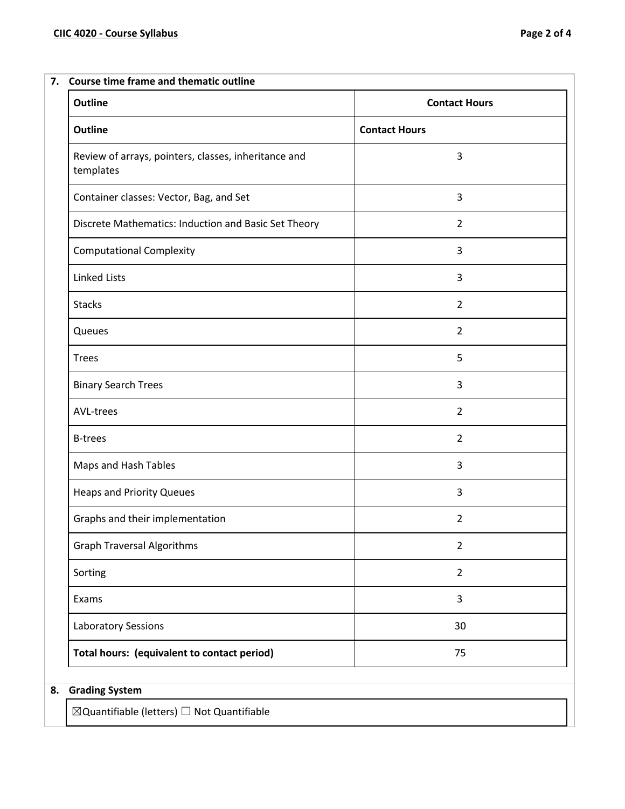## **7. Course time frame and thematic outline**

| <b>Outline</b>                                                    | <b>Contact Hours</b> |
|-------------------------------------------------------------------|----------------------|
| Outline                                                           | <b>Contact Hours</b> |
| Review of arrays, pointers, classes, inheritance and<br>templates | 3                    |
| Container classes: Vector, Bag, and Set                           | 3                    |
| Discrete Mathematics: Induction and Basic Set Theory              | $\overline{2}$       |
| <b>Computational Complexity</b>                                   | 3                    |
| <b>Linked Lists</b>                                               | 3                    |
| <b>Stacks</b>                                                     | $\overline{2}$       |
| Queues                                                            | $\overline{2}$       |
| <b>Trees</b>                                                      | 5                    |
| <b>Binary Search Trees</b>                                        | 3                    |
| AVL-trees                                                         | $\overline{2}$       |
| <b>B-trees</b>                                                    | $\overline{2}$       |
| Maps and Hash Tables                                              | 3                    |
| <b>Heaps and Priority Queues</b>                                  | 3                    |
| Graphs and their implementation                                   | $\overline{2}$       |
| <b>Graph Traversal Algorithms</b>                                 | 2                    |
| Sorting                                                           | $\overline{2}$       |
| Exams                                                             | 3                    |
| Laboratory Sessions                                               | 30                   |
| Total hours: (equivalent to contact period)                       | 75                   |

# **8. Grading System**

 $\boxtimes$ Quantifiable (letters)  $\Box$  Not Quantifiable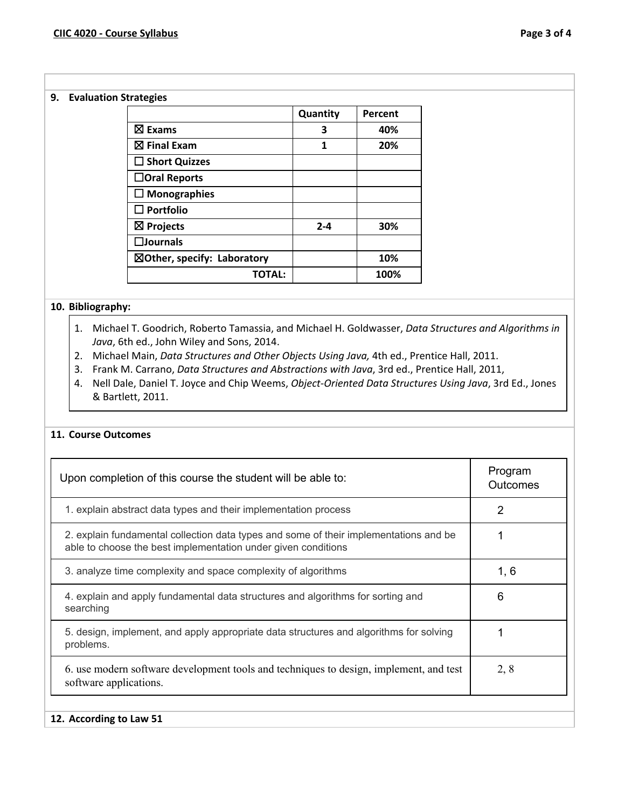#### **9. Evaluation Strategies**

|                                        | Quantity | Percent |
|----------------------------------------|----------|---------|
| $\boxtimes$ Exams                      | 3        | 40%     |
| $\boxtimes$ Final Exam                 | 1        | 20%     |
| $\Box$ Short Quizzes                   |          |         |
| $\Box$ Oral Reports                    |          |         |
| $\Box$ Monographies                    |          |         |
| $\square$ Portfolio                    |          |         |
| $\boxtimes$ Projects                   | $2 - 4$  | 30%     |
| $\square$ Journals                     |          |         |
| $\boxtimes$ Other, specify: Laboratory |          | 10%     |
| TOTAL:                                 |          | 100%    |

## **10. Bibliography:**

- 1. Michael T. Goodrich, Roberto Tamassia, and Michael H. Goldwasser, *Data Structures and Algorithms in Java*, 6th ed., John Wiley and Sons, 2014.
- 2. Michael Main, *Data Structures and Other Objects Using Java,* 4th ed., Prentice Hall, 2011.
- 3. Frank M. Carrano, *Data Structures and Abstractions with Java*, 3rd ed., Prentice Hall, 2011,
- 4. Nell Dale, Daniel T. Joyce and Chip Weems, *Object-Oriented Data Structures Using Java*, 3rd Ed., Jones & Bartlett, 2011.

#### **11. Course Outcomes**

| Upon completion of this course the student will be able to:                                                                                            | Program<br><b>Outcomes</b> |
|--------------------------------------------------------------------------------------------------------------------------------------------------------|----------------------------|
| 1. explain abstract data types and their implementation process                                                                                        | 2                          |
| 2. explain fundamental collection data types and some of their implementations and be<br>able to choose the best implementation under given conditions |                            |
| 3. analyze time complexity and space complexity of algorithms                                                                                          | 1, 6                       |
| 4. explain and apply fundamental data structures and algorithms for sorting and<br>searching                                                           | 6                          |
| 5. design, implement, and apply appropriate data structures and algorithms for solving<br>problems.                                                    |                            |
| 6. use modern software development tools and techniques to design, implement, and test<br>software applications.                                       | 2, 8                       |
| 12. According to Law 51                                                                                                                                |                            |